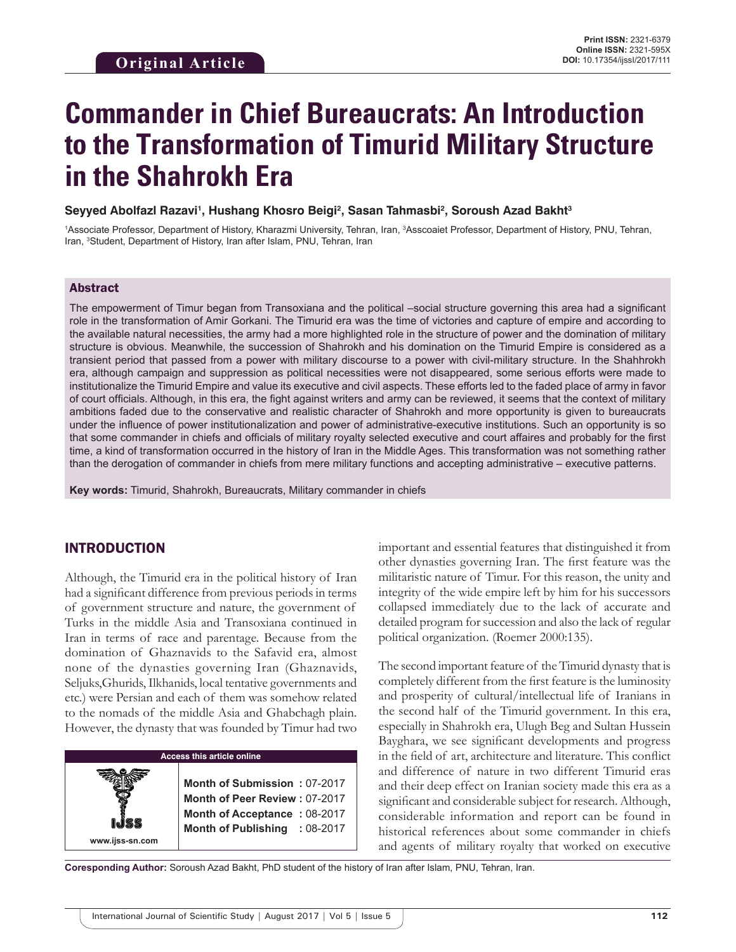# **Commander in Chief Bureaucrats: An Introduction to the Transformation of Timurid Military Structure in the Shahrokh Era**

#### **Seyyed Abolfazl Razavi1 , Hushang Khosro Beigi2 , Sasan Tahmasbi2 , Soroush Azad Bakht3**

<sup>1</sup>Associate Professor, Department of History, Kharazmi University, Tehran, Iran, <sup>3</sup>Asscoaiet Professor, Department of History, PNU, Tehran, Iran, <sup>3</sup>Student, Department of History, Iran after Islam, PNU, Tehran, Iran

#### Abstract

The empowerment of Timur began from Transoxiana and the political –social structure governing this area had a significant role in the transformation of Amir Gorkani. The Timurid era was the time of victories and capture of empire and according to the available natural necessities, the army had a more highlighted role in the structure of power and the domination of military structure is obvious. Meanwhile, the succession of Shahrokh and his domination on the Timurid Empire is considered as a transient period that passed from a power with military discourse to a power with civil-military structure. In the Shahhrokh era, although campaign and suppression as political necessities were not disappeared, some serious efforts were made to institutionalize the Timurid Empire and value its executive and civil aspects. These efforts led to the faded place of army in favor of court officials. Although, in this era, the fight against writers and army can be reviewed, it seems that the context of military ambitions faded due to the conservative and realistic character of Shahrokh and more opportunity is given to bureaucrats under the influence of power institutionalization and power of administrative-executive institutions. Such an opportunity is so that some commander in chiefs and officials of military royalty selected executive and court affaires and probably for the first time, a kind of transformation occurred in the history of Iran in the Middle Ages. This transformation was not something rather than the derogation of commander in chiefs from mere military functions and accepting administrative – executive patterns.

**Key words:** Timurid, Shahrokh, Bureaucrats, Military commander in chiefs

## INTRODUCTION

Although, the Timurid era in the political history of Iran had a significant difference from previous periods in terms of government structure and nature, the government of Turks in the middle Asia and Transoxiana continued in Iran in terms of race and parentage. Because from the domination of Ghaznavids to the Safavid era, almost none of the dynasties governing Iran (Ghaznavids, Seljuks,Ghurids, Ilkhanids, local tentative governments and etc.) were Persian and each of them was somehow related to the nomads of the middle Asia and Ghabchagh plain. However, the dynasty that was founded by Timur had two

| <b>Access this article online</b> |                                                                                                                                                  |
|-----------------------------------|--------------------------------------------------------------------------------------------------------------------------------------------------|
| www.ijss-sn.com                   | Month of Submission: 07-2017<br>Month of Peer Review: 07-2017<br><b>Month of Acceptance: 08-2017</b><br><b>Month of Publishing</b><br>$:08-2017$ |

important and essential features that distinguished it from other dynasties governing Iran. The first feature was the militaristic nature of Timur. For this reason, the unity and integrity of the wide empire left by him for his successors collapsed immediately due to the lack of accurate and detailed program for succession and also the lack of regular political organization. (Roemer 2000:135).

The second important feature of the Timurid dynasty that is completely different from the first feature is the luminosity and prosperity of cultural/intellectual life of Iranians in the second half of the Timurid government. In this era, especially in Shahrokh era, Ulugh Beg and Sultan Hussein Bayghara, we see significant developments and progress in the field of art, architecture and literature. This conflict and difference of nature in two different Timurid eras and their deep effect on Iranian society made this era as a significant and considerable subject for research. Although, considerable information and report can be found in historical references about some commander in chiefs and agents of military royalty that worked on executive

**Coresponding Author:** Soroush Azad Bakht, PhD student of the history of Iran after Islam, PNU, Tehran, Iran.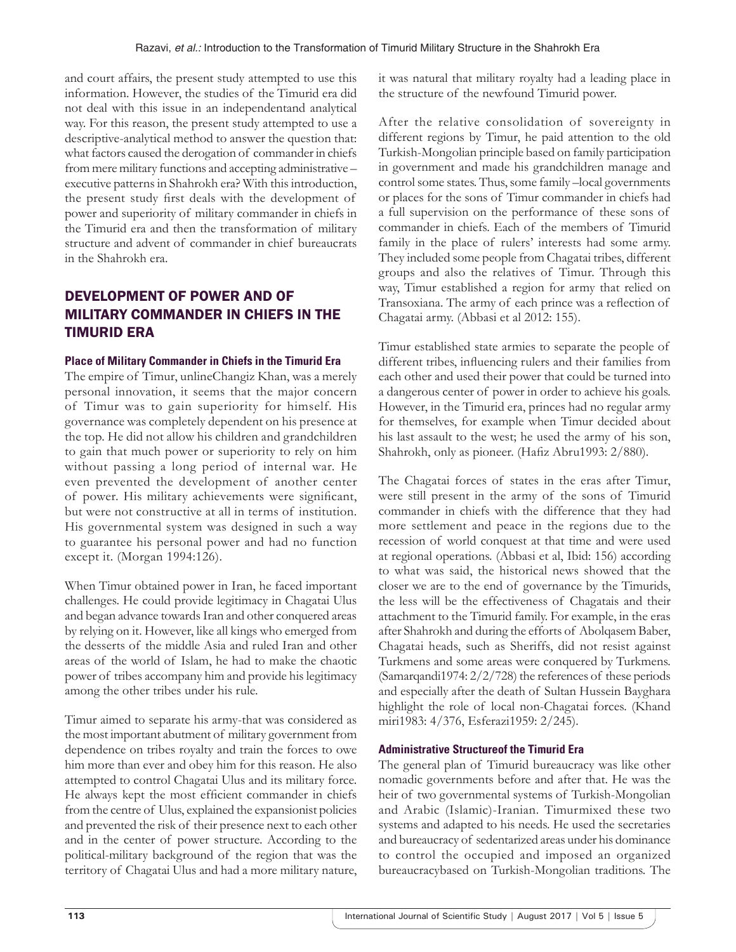and court affairs, the present study attempted to use this information. However, the studies of the Timurid era did not deal with this issue in an independentand analytical way. For this reason, the present study attempted to use a descriptive-analytical method to answer the question that: what factors caused the derogation of commander in chiefs from mere military functions and accepting administrative – executive patterns in Shahrokh era? With this introduction, the present study first deals with the development of power and superiority of military commander in chiefs in the Timurid era and then the transformation of military structure and advent of commander in chief bureaucrats in the Shahrokh era.

# DEVELOPMENT OF POWER AND OF MILITARY COMMANDER IN CHIEFS IN THE TIMURID ERA

### **Place of Military Commander in Chiefs in the Timurid Era**

The empire of Timur, unlineChangiz Khan, was a merely personal innovation, it seems that the major concern of Timur was to gain superiority for himself. His governance was completely dependent on his presence at the top. He did not allow his children and grandchildren to gain that much power or superiority to rely on him without passing a long period of internal war. He even prevented the development of another center of power. His military achievements were significant, but were not constructive at all in terms of institution. His governmental system was designed in such a way to guarantee his personal power and had no function except it. (Morgan 1994:126).

When Timur obtained power in Iran, he faced important challenges. He could provide legitimacy in Chagatai Ulus and began advance towards Iran and other conquered areas by relying on it. However, like all kings who emerged from the desserts of the middle Asia and ruled Iran and other areas of the world of Islam, he had to make the chaotic power of tribes accompany him and provide his legitimacy among the other tribes under his rule.

Timur aimed to separate his army-that was considered as the most important abutment of military government from dependence on tribes royalty and train the forces to owe him more than ever and obey him for this reason. He also attempted to control Chagatai Ulus and its military force. He always kept the most efficient commander in chiefs from the centre of Ulus, explained the expansionist policies and prevented the risk of their presence next to each other and in the center of power structure. According to the political-military background of the region that was the territory of Chagatai Ulus and had a more military nature, it was natural that military royalty had a leading place in the structure of the newfound Timurid power.

After the relative consolidation of sovereignty in different regions by Timur, he paid attention to the old Turkish-Mongolian principle based on family participation in government and made his grandchildren manage and control some states. Thus, some family –local governments or places for the sons of Timur commander in chiefs had a full supervision on the performance of these sons of commander in chiefs. Each of the members of Timurid family in the place of rulers' interests had some army. They included some people from Chagatai tribes, different groups and also the relatives of Timur. Through this way, Timur established a region for army that relied on Transoxiana. The army of each prince was a reflection of Chagatai army. (Abbasi et al 2012: 155).

Timur established state armies to separate the people of different tribes, influencing rulers and their families from each other and used their power that could be turned into a dangerous center of power in order to achieve his goals. However, in the Timurid era, princes had no regular army for themselves, for example when Timur decided about his last assault to the west; he used the army of his son, Shahrokh, only as pioneer. (Hafiz Abru1993: 2/880).

The Chagatai forces of states in the eras after Timur, were still present in the army of the sons of Timurid commander in chiefs with the difference that they had more settlement and peace in the regions due to the recession of world conquest at that time and were used at regional operations. (Abbasi et al, Ibid: 156) according to what was said, the historical news showed that the closer we are to the end of governance by the Timurids, the less will be the effectiveness of Chagatais and their attachment to the Timurid family. For example, in the eras after Shahrokh and during the efforts of Abolqasem Baber, Chagatai heads, such as Sheriffs, did not resist against Turkmens and some areas were conquered by Turkmens. (Samarqandi1974: 2/2/728) the references of these periods and especially after the death of Sultan Hussein Bayghara highlight the role of local non-Chagatai forces. (Khand miri1983: 4/376, Esferazi1959: 2/245).

#### **Administrative Structureof the Timurid Era**

The general plan of Timurid bureaucracy was like other nomadic governments before and after that. He was the heir of two governmental systems of Turkish-Mongolian and Arabic (Islamic)-Iranian. Timurmixed these two systems and adapted to his needs. He used the secretaries and bureaucracy of sedentarized areas under his dominance to control the occupied and imposed an organized bureaucracybased on Turkish-Mongolian traditions. The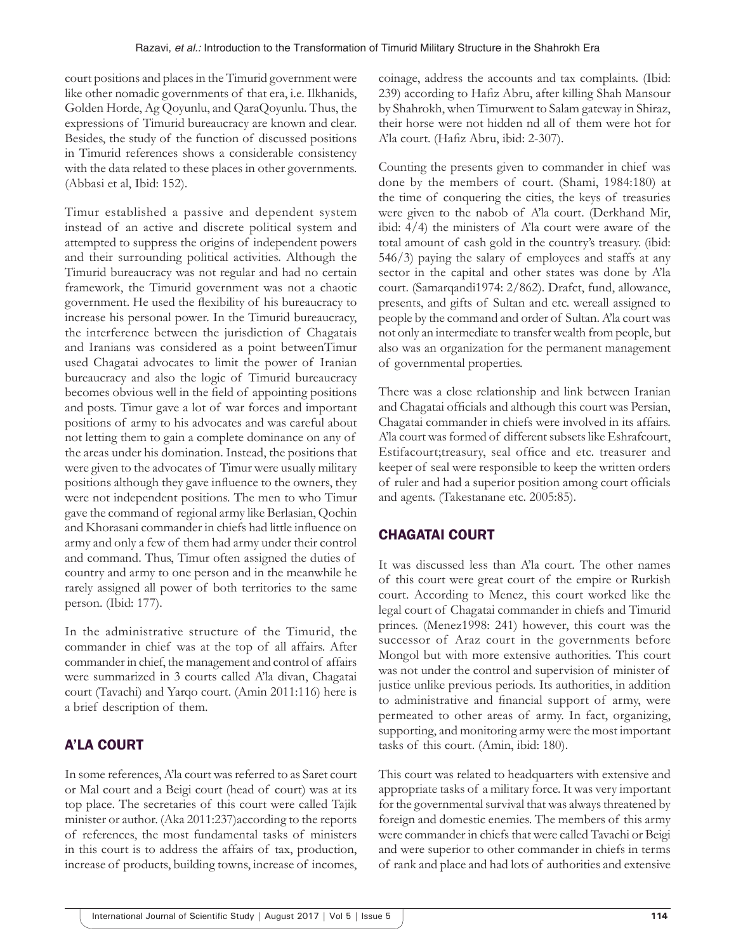court positions and places in the Timurid government were like other nomadic governments of that era, i.e. Ilkhanids, Golden Horde, Ag Qoyunlu, and QaraQoyunlu. Thus, the expressions of Timurid bureaucracy are known and clear. Besides, the study of the function of discussed positions in Timurid references shows a considerable consistency with the data related to these places in other governments. (Abbasi et al, Ibid: 152).

Timur established a passive and dependent system instead of an active and discrete political system and attempted to suppress the origins of independent powers and their surrounding political activities. Although the Timurid bureaucracy was not regular and had no certain framework, the Timurid government was not a chaotic government. He used the flexibility of his bureaucracy to increase his personal power. In the Timurid bureaucracy, the interference between the jurisdiction of Chagatais and Iranians was considered as a point betweenTimur used Chagatai advocates to limit the power of Iranian bureaucracy and also the logic of Timurid bureaucracy becomes obvious well in the field of appointing positions and posts. Timur gave a lot of war forces and important positions of army to his advocates and was careful about not letting them to gain a complete dominance on any of the areas under his domination. Instead, the positions that were given to the advocates of Timur were usually military positions although they gave influence to the owners, they were not independent positions. The men to who Timur gave the command of regional army like Berlasian, Qochin and Khorasani commander in chiefs had little influence on army and only a few of them had army under their control and command. Thus, Timur often assigned the duties of country and army to one person and in the meanwhile he rarely assigned all power of both territories to the same person. (Ibid: 177).

In the administrative structure of the Timurid, the commander in chief was at the top of all affairs. After commander in chief, the management and control of affairs were summarized in 3 courts called A'la divan, Chagatai court (Tavachi) and Yarqo court. (Amin 2011:116) here is a brief description of them.

# A'LA COURT

In some references, A'la court was referred to as Saret court or Mal court and a Beigi court (head of court) was at its top place. The secretaries of this court were called Tajik minister or author. (Aka 2011:237)according to the reports of references, the most fundamental tasks of ministers in this court is to address the affairs of tax, production, increase of products, building towns, increase of incomes, coinage, address the accounts and tax complaints. (Ibid: 239) according to Hafiz Abru, after killing Shah Mansour by Shahrokh, when Timurwent to Salam gateway in Shiraz, their horse were not hidden nd all of them were hot for A'la court. (Hafiz Abru, ibid: 2-307).

Counting the presents given to commander in chief was done by the members of court. (Shami, 1984:180) at the time of conquering the cities, the keys of treasuries were given to the nabob of A'la court. (Derkhand Mir, ibid: 4/4) the ministers of A'la court were aware of the total amount of cash gold in the country's treasury. (ibid: 546/3) paying the salary of employees and staffs at any sector in the capital and other states was done by A'la court. (Samarqandi1974: 2/862). Drafct, fund, allowance, presents, and gifts of Sultan and etc. wereall assigned to people by the command and order of Sultan. A'la court was not only an intermediate to transfer wealth from people, but also was an organization for the permanent management of governmental properties.

There was a close relationship and link between Iranian and Chagatai officials and although this court was Persian, Chagatai commander in chiefs were involved in its affairs. A'la court was formed of different subsets like Eshrafcourt, Estifacourt;treasury, seal office and etc. treasurer and keeper of seal were responsible to keep the written orders of ruler and had a superior position among court officials and agents. (Takestanane etc. 2005:85).

## CHAGATAI COURT

It was discussed less than A'la court. The other names of this court were great court of the empire or Rurkish court. According to Menez, this court worked like the legal court of Chagatai commander in chiefs and Timurid princes. (Menez1998: 241) however, this court was the successor of Araz court in the governments before Mongol but with more extensive authorities. This court was not under the control and supervision of minister of justice unlike previous periods. Its authorities, in addition to administrative and financial support of army, were permeated to other areas of army. In fact, organizing, supporting, and monitoring army were the most important tasks of this court. (Amin, ibid: 180).

This court was related to headquarters with extensive and appropriate tasks of a military force. It was very important for the governmental survival that was always threatened by foreign and domestic enemies. The members of this army were commander in chiefs that were called Tavachi or Beigi and were superior to other commander in chiefs in terms of rank and place and had lots of authorities and extensive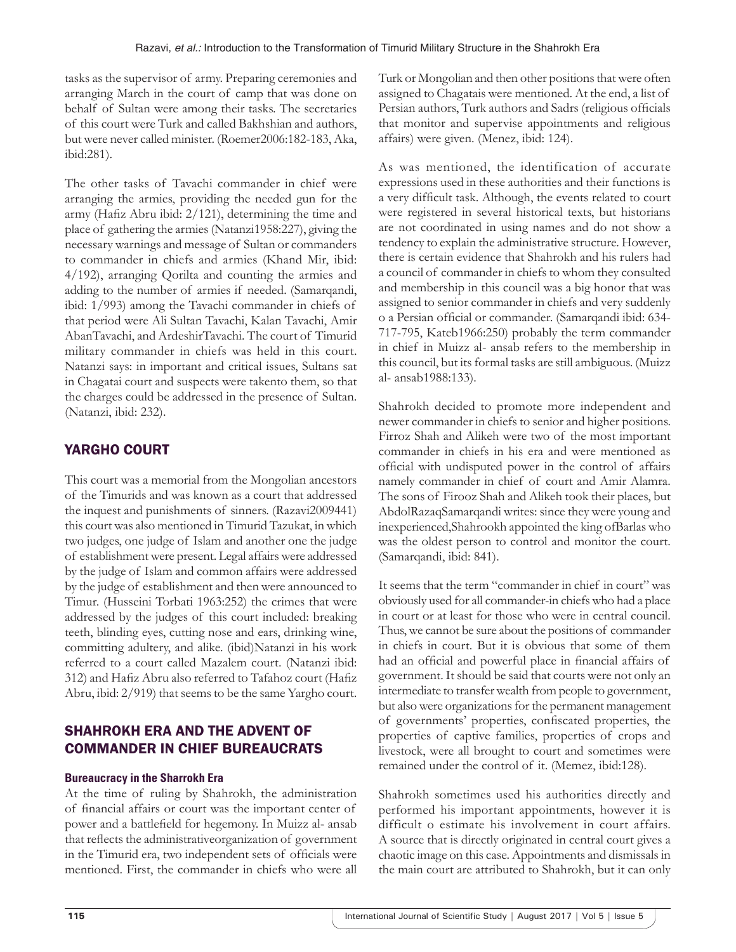tasks as the supervisor of army. Preparing ceremonies and arranging March in the court of camp that was done on behalf of Sultan were among their tasks. The secretaries of this court were Turk and called Bakhshian and authors, but were never called minister. (Roemer2006:182-183, Aka, ibid:281).

The other tasks of Tavachi commander in chief were arranging the armies, providing the needed gun for the army (Hafiz Abru ibid: 2/121), determining the time and place of gathering the armies (Natanzi1958:227), giving the necessary warnings and message of Sultan or commanders to commander in chiefs and armies (Khand Mir, ibid: 4/192), arranging Qorilta and counting the armies and adding to the number of armies if needed. (Samarqandi, ibid: 1/993) among the Tavachi commander in chiefs of that period were Ali Sultan Tavachi, Kalan Tavachi, Amir AbanTavachi, and ArdeshirTavachi. The court of Timurid military commander in chiefs was held in this court. Natanzi says: in important and critical issues, Sultans sat in Chagatai court and suspects were takento them, so that the charges could be addressed in the presence of Sultan. (Natanzi, ibid: 232).

## YARGHO COURT

This court was a memorial from the Mongolian ancestors of the Timurids and was known as a court that addressed the inquest and punishments of sinners. (Razavi2009441) this court was also mentioned in Timurid Tazukat, in which two judges, one judge of Islam and another one the judge of establishment were present. Legal affairs were addressed by the judge of Islam and common affairs were addressed by the judge of establishment and then were announced to Timur. (Husseini Torbati 1963:252) the crimes that were addressed by the judges of this court included: breaking teeth, blinding eyes, cutting nose and ears, drinking wine, committing adultery, and alike. (ibid)Natanzi in his work referred to a court called Mazalem court. (Natanzi ibid: 312) and Hafiz Abru also referred to Tafahoz court (Hafiz Abru, ibid: 2/919) that seems to be the same Yargho court.

## SHAHROKH ERA AND THE ADVENT OF COMMANDER IN CHIEF BUREAUCRATS

#### **Bureaucracy in the Sharrokh Era**

At the time of ruling by Shahrokh, the administration of financial affairs or court was the important center of power and a battlefield for hegemony. In Muizz al- ansab that reflects the administrativeorganization of government in the Timurid era, two independent sets of officials were mentioned. First, the commander in chiefs who were all Turk or Mongolian and then other positions that were often assigned to Chagatais were mentioned. At the end, a list of Persian authors, Turk authors and Sadrs (religious officials that monitor and supervise appointments and religious affairs) were given. (Menez, ibid: 124).

As was mentioned, the identification of accurate expressions used in these authorities and their functions is a very difficult task. Although, the events related to court were registered in several historical texts, but historians are not coordinated in using names and do not show a tendency to explain the administrative structure. However, there is certain evidence that Shahrokh and his rulers had a council of commander in chiefs to whom they consulted and membership in this council was a big honor that was assigned to senior commander in chiefs and very suddenly o a Persian official or commander. (Samarqandi ibid: 634- 717-795, Kateb1966:250) probably the term commander in chief in Muizz al- ansab refers to the membership in this council, but its formal tasks are still ambiguous. (Muizz al- ansab1988:133).

Shahrokh decided to promote more independent and newer commander in chiefs to senior and higher positions. Firroz Shah and Alikeh were two of the most important commander in chiefs in his era and were mentioned as official with undisputed power in the control of affairs namely commander in chief of court and Amir Alamra. The sons of Firooz Shah and Alikeh took their places, but AbdolRazaqSamarqandi writes: since they were young and inexperienced,Shahrookh appointed the king ofBarlas who was the oldest person to control and monitor the court. (Samarqandi, ibid: 841).

It seems that the term "commander in chief in court" was obviously used for all commander-in chiefs who had a place in court or at least for those who were in central council. Thus, we cannot be sure about the positions of commander in chiefs in court. But it is obvious that some of them had an official and powerful place in financial affairs of government. It should be said that courts were not only an intermediate to transfer wealth from people to government, but also were organizations for the permanent management of governments' properties, confiscated properties, the properties of captive families, properties of crops and livestock, were all brought to court and sometimes were remained under the control of it. (Memez, ibid:128).

Shahrokh sometimes used his authorities directly and performed his important appointments, however it is difficult o estimate his involvement in court affairs. A source that is directly originated in central court gives a chaotic image on this case. Appointments and dismissals in the main court are attributed to Shahrokh, but it can only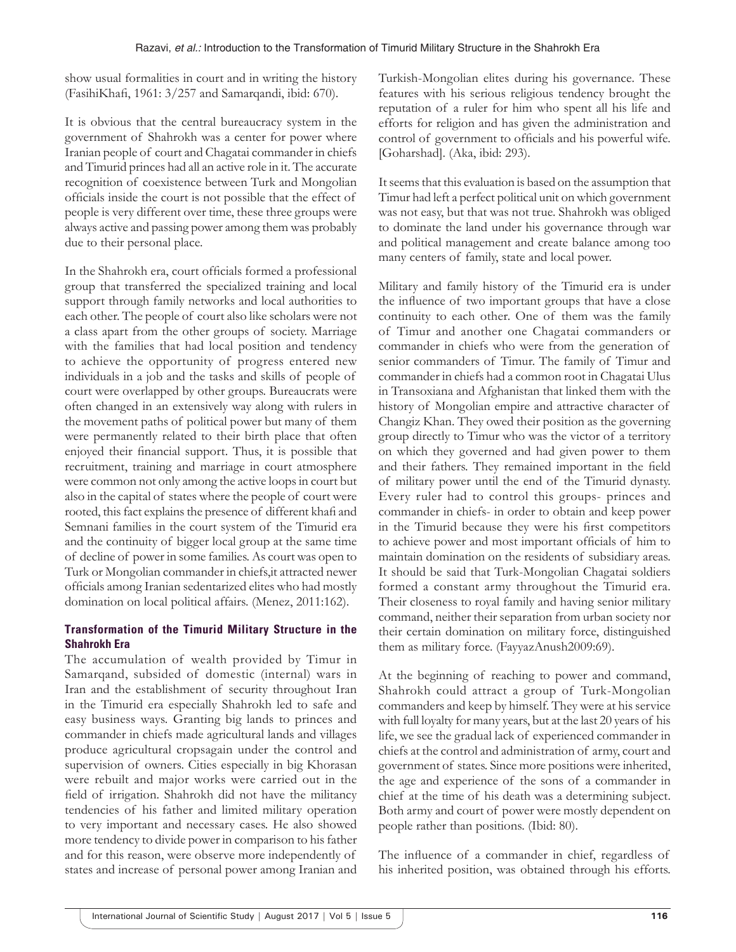show usual formalities in court and in writing the history (FasihiKhafi, 1961: 3/257 and Samarqandi, ibid: 670).

It is obvious that the central bureaucracy system in the government of Shahrokh was a center for power where Iranian people of court and Chagatai commander in chiefs and Timurid princes had all an active role in it. The accurate recognition of coexistence between Turk and Mongolian officials inside the court is not possible that the effect of people is very different over time, these three groups were always active and passing power among them was probably due to their personal place.

In the Shahrokh era, court officials formed a professional group that transferred the specialized training and local support through family networks and local authorities to each other. The people of court also like scholars were not a class apart from the other groups of society. Marriage with the families that had local position and tendency to achieve the opportunity of progress entered new individuals in a job and the tasks and skills of people of court were overlapped by other groups. Bureaucrats were often changed in an extensively way along with rulers in the movement paths of political power but many of them were permanently related to their birth place that often enjoyed their financial support. Thus, it is possible that recruitment, training and marriage in court atmosphere were common not only among the active loops in court but also in the capital of states where the people of court were rooted, this fact explains the presence of different khafi and Semnani families in the court system of the Timurid era and the continuity of bigger local group at the same time of decline of power in some families. As court was open to Turk or Mongolian commander in chiefs,it attracted newer officials among Iranian sedentarized elites who had mostly domination on local political affairs. (Menez, 2011:162).

## **Transformation of the Timurid Military Structure in the Shahrokh Era**

The accumulation of wealth provided by Timur in Samarqand, subsided of domestic (internal) wars in Iran and the establishment of security throughout Iran in the Timurid era especially Shahrokh led to safe and easy business ways. Granting big lands to princes and commander in chiefs made agricultural lands and villages produce agricultural cropsagain under the control and supervision of owners. Cities especially in big Khorasan were rebuilt and major works were carried out in the field of irrigation. Shahrokh did not have the militancy tendencies of his father and limited military operation to very important and necessary cases. He also showed more tendency to divide power in comparison to his father and for this reason, were observe more independently of states and increase of personal power among Iranian and

Turkish-Mongolian elites during his governance. These features with his serious religious tendency brought the reputation of a ruler for him who spent all his life and efforts for religion and has given the administration and control of government to officials and his powerful wife. [Goharshad]. (Aka, ibid: 293).

It seems that this evaluation is based on the assumption that Timur had left a perfect political unit on which government was not easy, but that was not true. Shahrokh was obliged to dominate the land under his governance through war and political management and create balance among too many centers of family, state and local power.

Military and family history of the Timurid era is under the influence of two important groups that have a close continuity to each other. One of them was the family of Timur and another one Chagatai commanders or commander in chiefs who were from the generation of senior commanders of Timur. The family of Timur and commander in chiefs had a common root in Chagatai Ulus in Transoxiana and Afghanistan that linked them with the history of Mongolian empire and attractive character of Changiz Khan. They owed their position as the governing group directly to Timur who was the victor of a territory on which they governed and had given power to them and their fathers. They remained important in the field of military power until the end of the Timurid dynasty. Every ruler had to control this groups- princes and commander in chiefs- in order to obtain and keep power in the Timurid because they were his first competitors to achieve power and most important officials of him to maintain domination on the residents of subsidiary areas. It should be said that Turk-Mongolian Chagatai soldiers formed a constant army throughout the Timurid era. Their closeness to royal family and having senior military command, neither their separation from urban society nor their certain domination on military force, distinguished them as military force. (FayyazAnush2009:69).

At the beginning of reaching to power and command, Shahrokh could attract a group of Turk-Mongolian commanders and keep by himself. They were at his service with full loyalty for many years, but at the last 20 years of his life, we see the gradual lack of experienced commander in chiefs at the control and administration of army, court and government of states. Since more positions were inherited, the age and experience of the sons of a commander in chief at the time of his death was a determining subject. Both army and court of power were mostly dependent on people rather than positions. (Ibid: 80).

The influence of a commander in chief, regardless of his inherited position, was obtained through his efforts.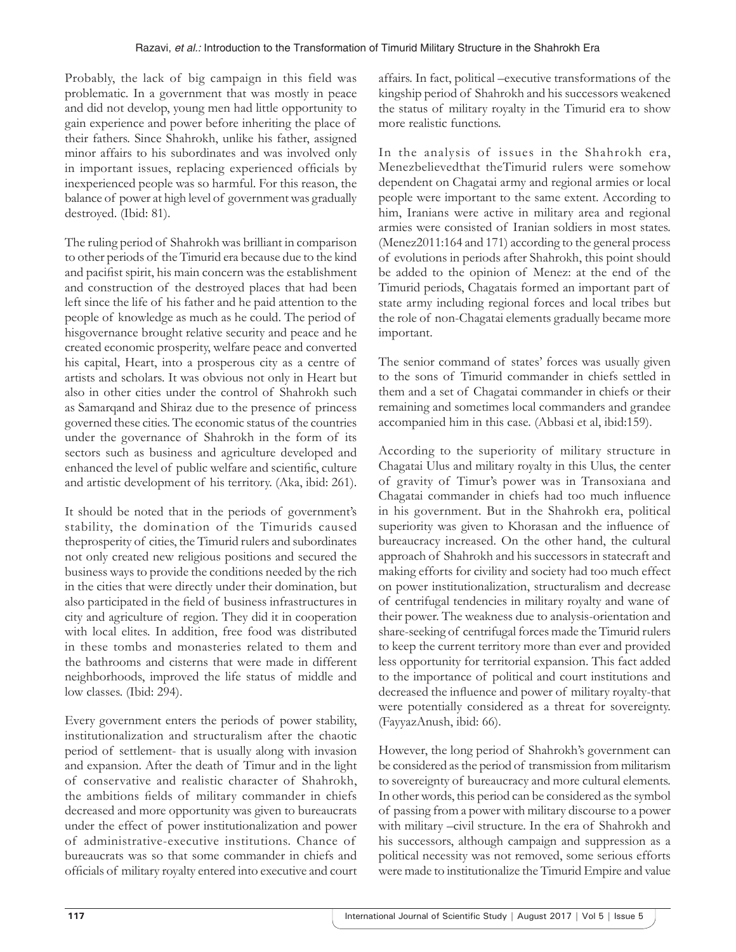Probably, the lack of big campaign in this field was problematic. In a government that was mostly in peace and did not develop, young men had little opportunity to gain experience and power before inheriting the place of their fathers. Since Shahrokh, unlike his father, assigned minor affairs to his subordinates and was involved only in important issues, replacing experienced officials by inexperienced people was so harmful. For this reason, the balance of power at high level of government was gradually destroyed. (Ibid: 81).

The ruling period of Shahrokh was brilliant in comparison to other periods of the Timurid era because due to the kind and pacifist spirit, his main concern was the establishment and construction of the destroyed places that had been left since the life of his father and he paid attention to the people of knowledge as much as he could. The period of hisgovernance brought relative security and peace and he created economic prosperity, welfare peace and converted his capital, Heart, into a prosperous city as a centre of artists and scholars. It was obvious not only in Heart but also in other cities under the control of Shahrokh such as Samarqand and Shiraz due to the presence of princess governed these cities. The economic status of the countries under the governance of Shahrokh in the form of its sectors such as business and agriculture developed and enhanced the level of public welfare and scientific, culture and artistic development of his territory. (Aka, ibid: 261).

It should be noted that in the periods of government's stability, the domination of the Timurids caused theprosperity of cities, the Timurid rulers and subordinates not only created new religious positions and secured the business ways to provide the conditions needed by the rich in the cities that were directly under their domination, but also participated in the field of business infrastructures in city and agriculture of region. They did it in cooperation with local elites. In addition, free food was distributed in these tombs and monasteries related to them and the bathrooms and cisterns that were made in different neighborhoods, improved the life status of middle and low classes. (Ibid: 294).

Every government enters the periods of power stability, institutionalization and structuralism after the chaotic period of settlement- that is usually along with invasion and expansion. After the death of Timur and in the light of conservative and realistic character of Shahrokh, the ambitions fields of military commander in chiefs decreased and more opportunity was given to bureaucrats under the effect of power institutionalization and power of administrative-executive institutions. Chance of bureaucrats was so that some commander in chiefs and officials of military royalty entered into executive and court

affairs. In fact, political –executive transformations of the kingship period of Shahrokh and his successors weakened the status of military royalty in the Timurid era to show more realistic functions.

In the analysis of issues in the Shahrokh era, Menezbelievedthat theTimurid rulers were somehow dependent on Chagatai army and regional armies or local people were important to the same extent. According to him, Iranians were active in military area and regional armies were consisted of Iranian soldiers in most states. (Menez2011:164 and 171) according to the general process of evolutions in periods after Shahrokh, this point should be added to the opinion of Menez: at the end of the Timurid periods, Chagatais formed an important part of state army including regional forces and local tribes but the role of non-Chagatai elements gradually became more important.

The senior command of states' forces was usually given to the sons of Timurid commander in chiefs settled in them and a set of Chagatai commander in chiefs or their remaining and sometimes local commanders and grandee accompanied him in this case. (Abbasi et al, ibid:159).

According to the superiority of military structure in Chagatai Ulus and military royalty in this Ulus, the center of gravity of Timur's power was in Transoxiana and Chagatai commander in chiefs had too much influence in his government. But in the Shahrokh era, political superiority was given to Khorasan and the influence of bureaucracy increased. On the other hand, the cultural approach of Shahrokh and his successors in statecraft and making efforts for civility and society had too much effect on power institutionalization, structuralism and decrease of centrifugal tendencies in military royalty and wane of their power. The weakness due to analysis-orientation and share-seeking of centrifugal forces made the Timurid rulers to keep the current territory more than ever and provided less opportunity for territorial expansion. This fact added to the importance of political and court institutions and decreased the influence and power of military royalty-that were potentially considered as a threat for sovereignty. (FayyazAnush, ibid: 66).

However, the long period of Shahrokh's government can be considered as the period of transmission from militarism to sovereignty of bureaucracy and more cultural elements. In other words, this period can be considered as the symbol of passing from a power with military discourse to a power with military –civil structure. In the era of Shahrokh and his successors, although campaign and suppression as a political necessity was not removed, some serious efforts were made to institutionalize the Timurid Empire and value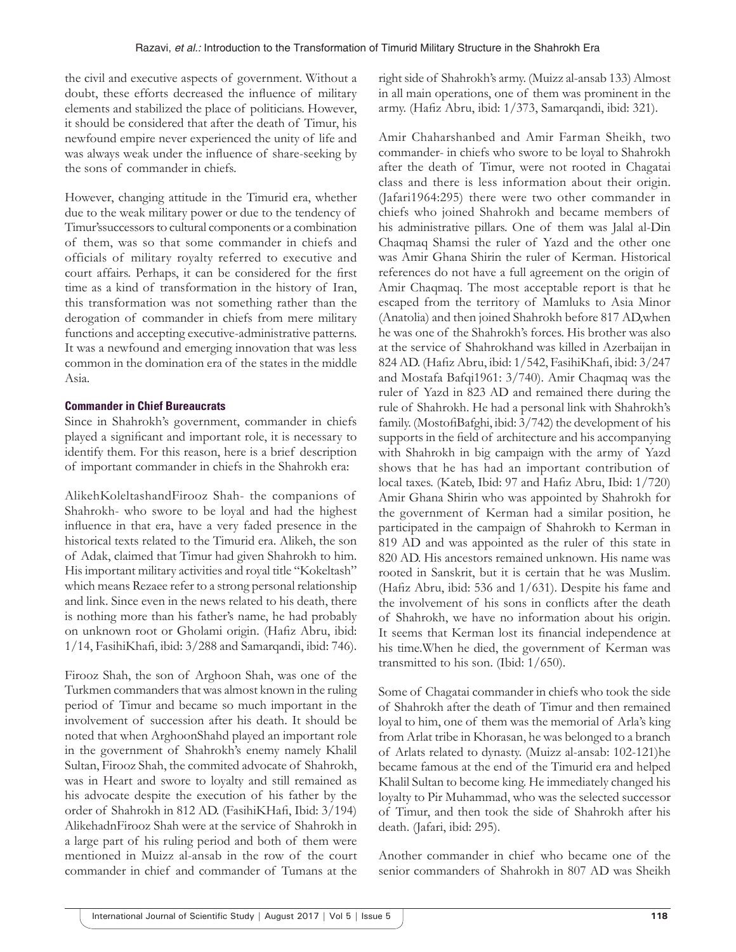the civil and executive aspects of government. Without a doubt, these efforts decreased the influence of military elements and stabilized the place of politicians. However, it should be considered that after the death of Timur, his newfound empire never experienced the unity of life and was always weak under the influence of share-seeking by the sons of commander in chiefs.

However, changing attitude in the Timurid era, whether due to the weak military power or due to the tendency of Timur'ssuccessors to cultural components or a combination of them, was so that some commander in chiefs and officials of military royalty referred to executive and court affairs. Perhaps, it can be considered for the first time as a kind of transformation in the history of Iran, this transformation was not something rather than the derogation of commander in chiefs from mere military functions and accepting executive-administrative patterns. It was a newfound and emerging innovation that was less common in the domination era of the states in the middle Asia.

### **Commander in Chief Bureaucrats**

Since in Shahrokh's government, commander in chiefs played a significant and important role, it is necessary to identify them. For this reason, here is a brief description of important commander in chiefs in the Shahrokh era:

AlikehKoleltashandFirooz Shah- the companions of Shahrokh- who swore to be loyal and had the highest influence in that era, have a very faded presence in the historical texts related to the Timurid era. Alikeh, the son of Adak, claimed that Timur had given Shahrokh to him. His important military activities and royal title "Kokeltash" which means Rezaee refer to a strong personal relationship and link. Since even in the news related to his death, there is nothing more than his father's name, he had probably on unknown root or Gholami origin. (Hafiz Abru, ibid: 1/14, FasihiKhafi, ibid: 3/288 and Samarqandi, ibid: 746).

Firooz Shah, the son of Arghoon Shah, was one of the Turkmen commanders that was almost known in the ruling period of Timur and became so much important in the involvement of succession after his death. It should be noted that when ArghoonShahd played an important role in the government of Shahrokh's enemy namely Khalil Sultan, Firooz Shah, the commited advocate of Shahrokh, was in Heart and swore to loyalty and still remained as his advocate despite the execution of his father by the order of Shahrokh in 812 AD. (FasihiKHafi, Ibid: 3/194) AlikehadnFirooz Shah were at the service of Shahrokh in a large part of his ruling period and both of them were mentioned in Muizz al-ansab in the row of the court commander in chief and commander of Tumans at the

right side of Shahrokh's army. (Muizz al-ansab 133) Almost in all main operations, one of them was prominent in the army. (Hafiz Abru, ibid: 1/373, Samarqandi, ibid: 321).

Amir Chaharshanbed and Amir Farman Sheikh, two commander- in chiefs who swore to be loyal to Shahrokh after the death of Timur, were not rooted in Chagatai class and there is less information about their origin. (Jafari1964:295) there were two other commander in chiefs who joined Shahrokh and became members of his administrative pillars. One of them was Jalal al-Din Chaqmaq Shamsi the ruler of Yazd and the other one was Amir Ghana Shirin the ruler of Kerman. Historical references do not have a full agreement on the origin of Amir Chaqmaq. The most acceptable report is that he escaped from the territory of Mamluks to Asia Minor (Anatolia) and then joined Shahrokh before 817 AD,when he was one of the Shahrokh's forces. His brother was also at the service of Shahrokhand was killed in Azerbaijan in 824 AD. (Hafiz Abru, ibid: 1/542, FasihiKhafi, ibid: 3/247 and Mostafa Bafqi1961: 3/740). Amir Chaqmaq was the ruler of Yazd in 823 AD and remained there during the rule of Shahrokh. He had a personal link with Shahrokh's family. (MostofiBafghi, ibid: 3/742) the development of his supports in the field of architecture and his accompanying with Shahrokh in big campaign with the army of Yazd shows that he has had an important contribution of local taxes. (Kateb, Ibid: 97 and Hafiz Abru, Ibid: 1/720) Amir Ghana Shirin who was appointed by Shahrokh for the government of Kerman had a similar position, he participated in the campaign of Shahrokh to Kerman in 819 AD and was appointed as the ruler of this state in 820 AD. His ancestors remained unknown. His name was rooted in Sanskrit, but it is certain that he was Muslim. (Hafiz Abru, ibid: 536 and 1/631). Despite his fame and the involvement of his sons in conflicts after the death of Shahrokh, we have no information about his origin. It seems that Kerman lost its financial independence at his time.When he died, the government of Kerman was transmitted to his son. (Ibid: 1/650).

Some of Chagatai commander in chiefs who took the side of Shahrokh after the death of Timur and then remained loyal to him, one of them was the memorial of Arla's king from Arlat tribe in Khorasan, he was belonged to a branch of Arlats related to dynasty. (Muizz al-ansab: 102-121)he became famous at the end of the Timurid era and helped Khalil Sultan to become king. He immediately changed his loyalty to Pir Muhammad, who was the selected successor of Timur, and then took the side of Shahrokh after his death. (Jafari, ibid: 295).

Another commander in chief who became one of the senior commanders of Shahrokh in 807 AD was Sheikh